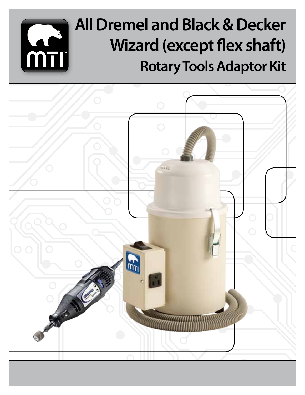# **All Dremel and Black & Decker Wizard (except flex shaft) Rotary Tools Adaptor Kit**

**MT** 

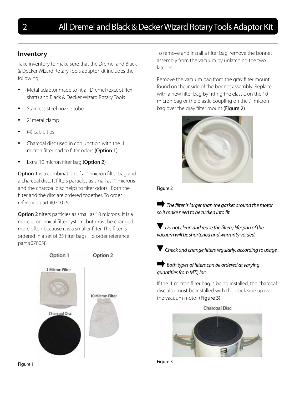# **Inventory**

Take inventory to make sure that the Dremel and Black & Decker Wizard Rotary Tools adaptor kit includes the following:

- Metal adaptor made to fit all Dremel (except flex shaft) and Black & Decker Wizard Rotary Tools
- Stainless steel nozzle tube
- 2" metal clamp
- $(4)$  cable ties
- Charcoal disc used in conjunction with the .1 micron filter bad to filter odors (Option 1)
- Extra 10 micron filter bag (Option 2)

Option 1 is a combination of a .1 micron filter bag and a charcoal disc. It filters particles as small as .1 microns and the charcoal disc helps to filter odors. Both the filter and the disc are ordered together. To order reference part #070026.

Option 2 filters particles as small as 10 microns. It is a more economical filter system, but must be changed more often because it is a smaller filter. The filter is ordered in a set of 25 filter bags. To order reference part #070058.



To remove and install a filter bag, remove the bonnet assembly from the vacuum by unlatching the two latches.

Remove the vacuum bag from the gray filter mount found on the inside of the bonnet assembly. Replace with a new filter bag by fitting the elastic on the 10 micron bag or the plastic coupling on the .1 micron bag over the gray filter mount (Figure 2).



Figure 2

 *The filter is larger than the gasket around the motor so it make need to be tucked into fit.*

 *Do not clean and reuse the filters; lifespan of the vacuum will be shortened and warranty voided.*

 *Check and change filters regularly; according to usage.*

## *Both types of filters can be ordered at varying quantities from MTI, Inc.*

If the .1 micron filter bag is being installed, the charcoal disc also must be installed with the black side up over the vacuum motor (Figure 3).



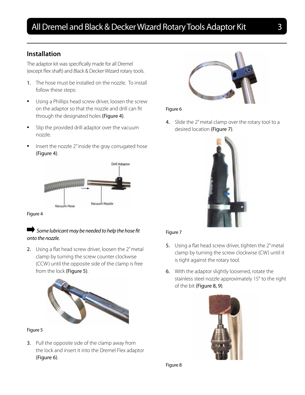# **Installation**

The adaptor kit was specifically made for all Dremel (except flex shaft) and Black & Decker Wizard rotary tools.

- 1. The hose must be installed on the nozzle. To install follow these steps:
- • Using a Phillips head screw driver, loosen the screw on the adaptor so that the nozzle and drill can fit through the designated holes (Figure 4).
- Slip the provided drill adaptor over the vacuum nozzle.
- Insert the nozzle 2" inside the gray corrugated hose (Figure 4).



Figure 4

## $\blacktriangleright$  Some lubricant may be needed to help the hose fit *onto the nozzle.*

2. Using a flat head screw driver, loosen the 2" metal clamp by turning the screw counter clockwise (CCW) until the opposite side of the clamp is free from the lock (Figure 5).



#### Figure 5

3. Pull the opposite side of the clamp away from the lock and insert it into the Dremel Flex adaptor (Figure 6).



#### Figure 6

4. Slide the 2" metal clamp over the rotary tool to a desired location (Figure 7).



#### Figure 7

- 5. Using a flat head screw driver, tighten the 2" metal clamp by turning the screw clockwise (CW) until it is tight against the rotary tool.
- 6. With the adaptor slightly loosened, rotate the stainless steel nozzle approximately 15° to the right of the bit (Figure 8, 9).



Figure 8